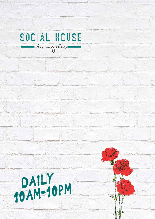